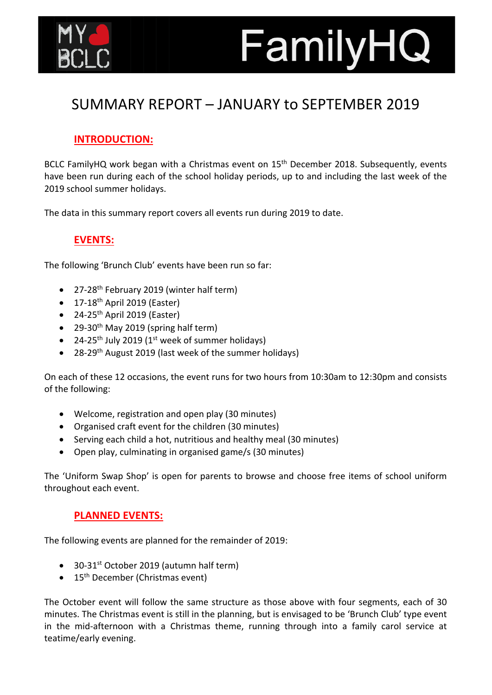

## FamilyHQ

## SUMMARY REPORT – JANUARY to SEPTEMBER 2019

## **INTRODUCTION:**

BCLC FamilyHQ work began with a Christmas event on 15<sup>th</sup> December 2018. Subsequently, events have been run during each of the school holiday periods, up to and including the last week of the 2019 school summer holidays.

The data in this summary report covers all events run during 2019 to date.

## **EVENTS:**

The following 'Brunch Club' events have been run so far:

- 27-28<sup>th</sup> February 2019 (winter half term)
- $\bullet$  17-18<sup>th</sup> April 2019 (Easter)
- $\bullet$  24-25<sup>th</sup> April 2019 (Easter)
- 29-30<sup>th</sup> May 2019 (spring half term)
- 24-25<sup>th</sup> July 2019 (1<sup>st</sup> week of summer holidays)
- 28-29<sup>th</sup> August 2019 (last week of the summer holidays)

On each of these 12 occasions, the event runs for two hours from 10:30am to 12:30pm and consists of the following:

- Welcome, registration and open play (30 minutes)
- Organised craft event for the children (30 minutes)
- Serving each child a hot, nutritious and healthy meal (30 minutes)
- Open play, culminating in organised game/s (30 minutes)

The 'Uniform Swap Shop' is open for parents to browse and choose free items of school uniform throughout each event.

### **PLANNED EVENTS:**

The following events are planned for the remainder of 2019:

- 30-31<sup>st</sup> October 2019 (autumn half term)
- $\bullet$  15<sup>th</sup> December (Christmas event)

The October event will follow the same structure as those above with four segments, each of 30 minutes. The Christmas event is still in the planning, but is envisaged to be 'Brunch Club' type event in the mid-afternoon with a Christmas theme, running through into a family carol service at teatime/early evening.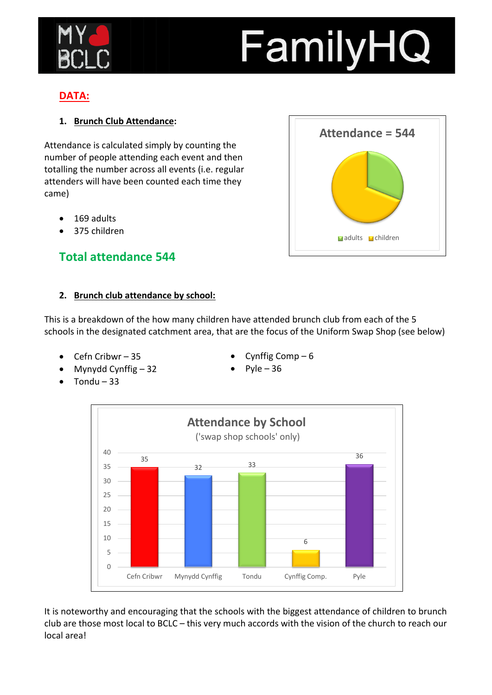

# FamilyHQ

## **DATA:**

## **1. Brunch Club Attendance:**

Attendance is calculated simply by counting the number of people attending each event and then totalling the number across all events (i.e. regular attenders will have been counted each time they came)

- 169 adults
- 375 children

## **Total attendance 544**

#### **2. Brunch club attendance by school:**

This is a breakdown of the how many children have attended brunch club from each of the 5 schools in the designated catchment area, that are the focus of the Uniform Swap Shop (see below)

- Cefn Cribwr 35
- Mynydd Cynffig 32
- $\bullet$  Tondu 33

Cynffig Comp $-6$ 





It is noteworthy and encouraging that the schools with the biggest attendance of children to brunch club are those most local to BCLC – this very much accords with the vision of the church to reach our local area!